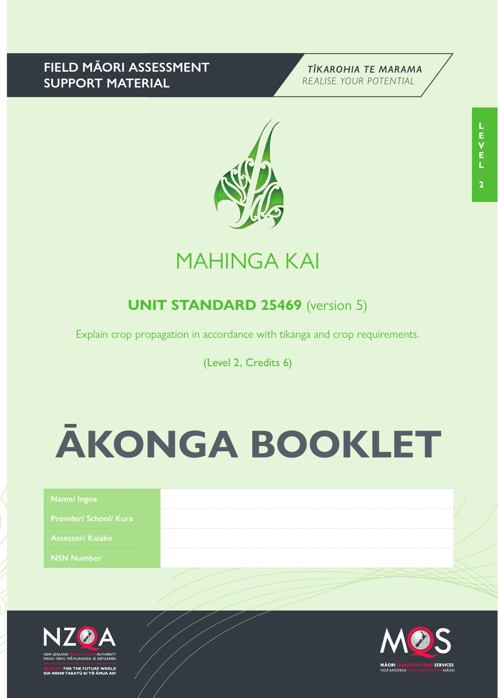# **FIELD MĀORI ASSESSMENT SUPPORT MATERIAL**





# MAHINGA KAI

# **UNIT STANDARD 25469** (version 5)

Explain crop propagation in accordance with tikanga and crop requirements.

(Level 2, Credits 6)

# **ĀKONGA BOOKLET**

| Name/Ingoa                    |  |
|-------------------------------|--|
| <b>Provider/ School/ Kura</b> |  |
| <b>Assessor/ Kajako</b>       |  |
| <b>NSN Number</b>             |  |
|                               |  |



FOR THE FUTURE WORLD<br>O TAKATŪ KI TÕ ĀMUA AO!

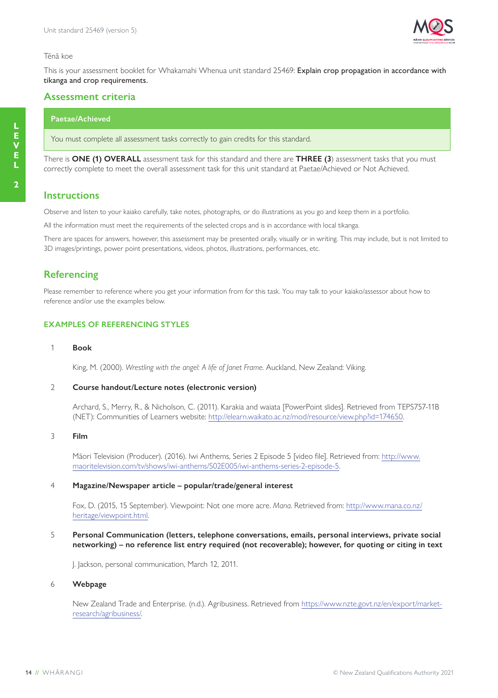

#### Tēnā koe

This is your assessment booklet for Whakamahi Whenua unit standard 25469: Explain crop propagation in accordance with tikanga and crop requirements.

#### **Assessment criteria**

#### **Paetae/Achieved**

You must complete all assessment tasks correctly to gain credits for this standard.

There is **ONE (1) OVERALL** assessment task for this standard and there are **THREE (3**) assessment tasks that you must correctly complete to meet the overall assessment task for this unit standard at Paetae/Achieved or Not Achieved.

### **Instructions**

Observe and listen to your kaiako carefully, take notes, photographs, or do illustrations as you go and keep them in a portfolio.

All the information must meet the requirements of the selected crops and is in accordance with local tikanga.

There are spaces for answers, however, this assessment may be presented orally, visually or in writing. This may include, but is not limited to 3D images/printings, power point presentations, videos, photos, illustrations, performances, etc.

## **Referencing**

Please remember to reference where you get your information from for this task. You may talk to your kaiako/assessor about how to reference and/or use the examples below.

#### **EXAMPLES OF REFERENCING STYLES**

#### 1 **Book**

King, M. (2000). *Wrestling with the angel: A life of Janet Frame*. Auckland, New Zealand: Viking.

#### 2 **Course handout/Lecture notes (electronic version)**

Archard, S., Merry, R., & Nicholson, C. (2011). Karakia and waiata [PowerPoint slides]. Retrieved from TEPS757-11B (NET): Communities of Learners website: http://elearn.waikato.ac.nz/mod/resource/view.php?id=174650.

#### 3 **Film**

Māori Television (Producer). (2016). Iwi Anthems, Series 2 Episode 5 [video file]. Retrieved from: http://www. maoritelevision.com/tv/shows/iwi-anthems/S02E005/iwi-anthems-series-2-episode-5.

#### 4 **Magazine/Newspaper article – popular/trade/general interest**

Fox, D. (2015, 15 September). Viewpoint: Not one more acre. *Mana*. Retrieved from: http://www.mana.co.nz/ heritage/viewpoint.html.

5 **Personal Communication (letters, telephone conversations, emails, personal interviews, private social networking) – no reference list entry required (not recoverable); however, for quoting or citing in text**

J. Jackson, personal communication, March 12, 2011.

#### 6 **Webpage**

New Zealand Trade and Enterprise. (n.d.). Agribusiness. Retrieved from https://www.nzte.govt.nz/en/export/marketresearch/agribusiness/.

**2**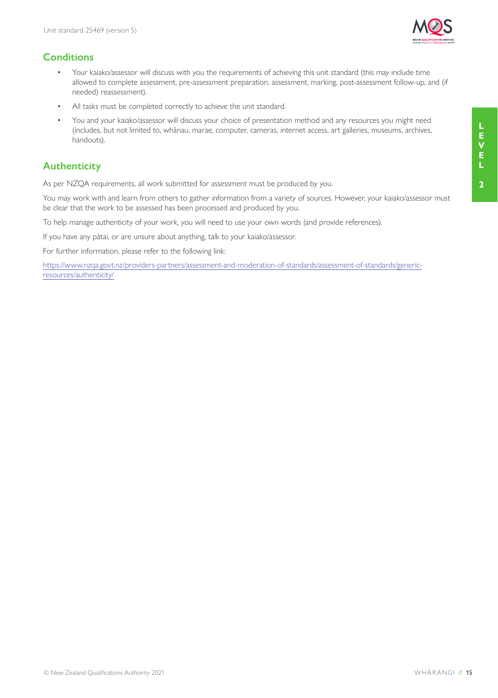

# **Conditions**

- Your kaiako/assessor will discuss with you the requirements of achieving this unit standard (this may include time allowed to complete assessment, pre-assessment preparation, assessment, marking, post-assessment follow-up, and (if needed) reassessment).
- All tasks must be completed correctly to achieve the unit standard.
- You and your kaiako/assessor will discuss your choice of presentation method and any resources you might need (includes, but not limited to, whānau, marae, computer, cameras, internet access, art galleries, museums, archives, handouts).

# **Authenticity**

As per NZQA requirements, all work submitted for assessment must be produced by you.

You may work with and learn from others to gather information from a variety of sources. However, your kaiako/assessor must be clear that the work to be assessed has been processed and produced by you.

To help manage authenticity of your work, you will need to use your own words (and provide references).

If you have any pātai, or are unsure about anything, talk to your kaiako/assessor.

For further information, please refer to the following link:

https://www.nzqa.govt.nz/providers-partners/assessment-and-moderation-of-standards/assessment-of-standards/genericresources/authenticity/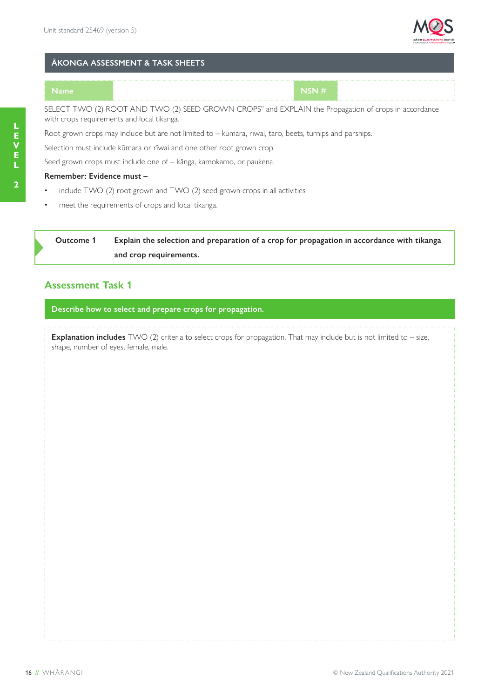

#### **ĀKONGA ASSESSMENT & TASK SHEETS**

**Name NSN #**

SELECT TWO (2) ROOT AND TWO (2) SEED GROWN CROPS" and EXPLAIN the Propagation of crops in accordance with crops requirements and local tikanga.

Root grown crops may include but are not limited to – kūmara, rīwai, taro, beets, turnips and parsnips.

Selection must include kūmara or rīwai and one other root grown crop.

Seed grown crops must include one of – kānga, kamokamo, or paukena.

#### **Remember: Evidence must –**

- include TWO (2) root grown and TWO (2) seed grown crops in all activities
- meet the requirements of crops and local tikanga.

**Outcome 1 Explain the selection and preparation of a crop for propagation in accordance with tikanga and crop requirements.**

## **Assessment Task 1**

**Describe how to select and prepare crops for propagation.**

**Explanation includes** TWO (2) criteria to select crops for propagation. That may include but is not limited to – size, shape, number of eyes, female, male.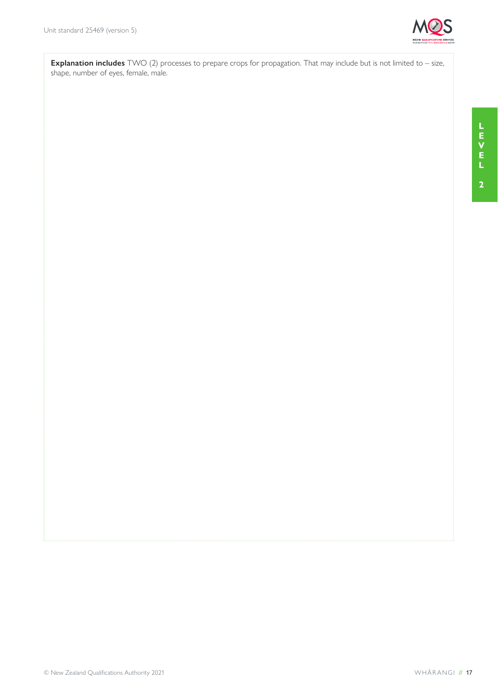

**Explanation includes** TWO (2) processes to prepare crops for propagation. That may include but is not limited to – size, shape, number of eyes, female, male.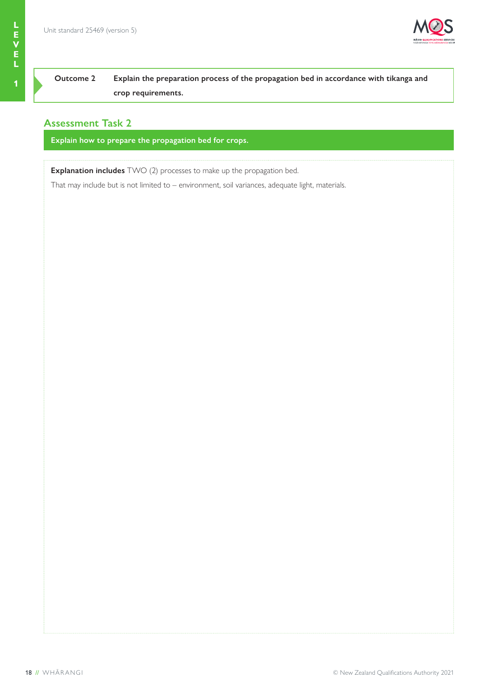

**E V**

# **Outcome 2 Explain the preparation process of the propagation bed in accordance with tikanga and crop requirements.**

# **Assessment Task 2**

**Explain how to prepare the propagation bed for crops.**

**Explanation includes** TWO (2) processes to make up the propagation bed.

That may include but is not limited to – environment, soil variances, adequate light, materials.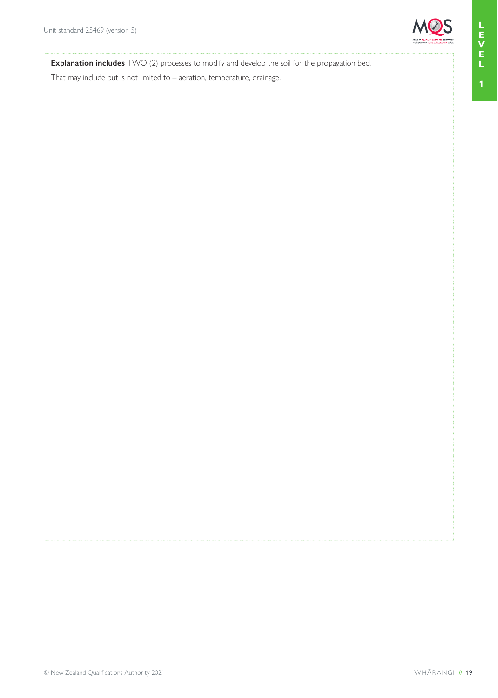

**Explanation includes** TWO (2) processes to modify and develop the soil for the propagation bed.

That may include but is not limited to – aeration, temperature, drainage.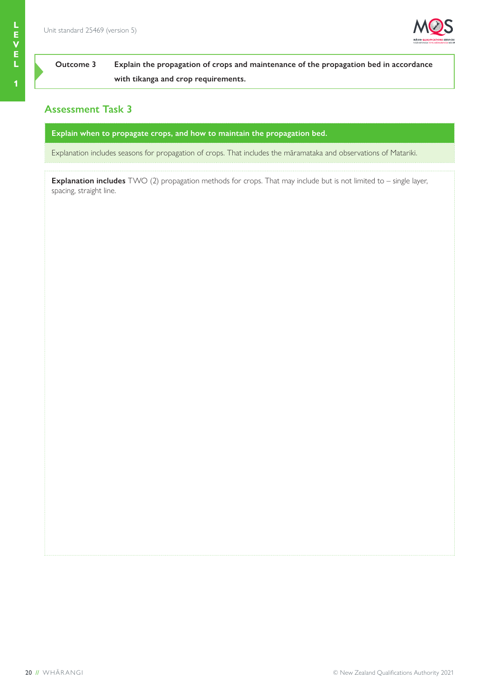

# **Outcome 3 Explain the propagation of crops and maintenance of the propagation bed in accordance with tikanga and crop requirements.**

# **Assessment Task 3**

**Explain when to propagate crops, and how to maintain the propagation bed.**

Explanation includes seasons for propagation of crops. That includes the māramataka and observations of Matariki.

**Explanation includes** TWO (2) propagation methods for crops. That may include but is not limited to – single layer, spacing, straight line.